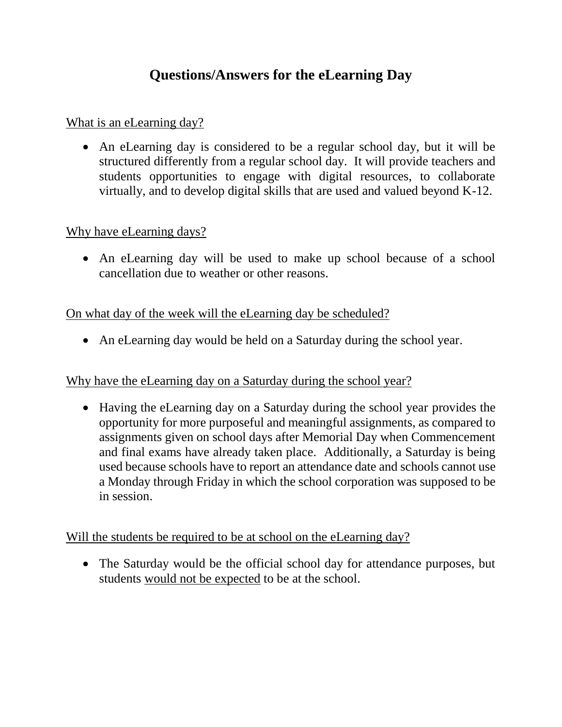# **Questions/Answers for the eLearning Day**

What is an eLearning day?

 An eLearning day is considered to be a regular school day, but it will be structured differently from a regular school day. It will provide teachers and students opportunities to engage with digital resources, to collaborate virtually, and to develop digital skills that are used and valued beyond K-12.

## Why have eLearning days?

 An eLearning day will be used to make up school because of a school cancellation due to weather or other reasons.

## On what day of the week will the eLearning day be scheduled?

An eLearning day would be held on a Saturday during the school year.

# Why have the eLearning day on a Saturday during the school year?

 Having the eLearning day on a Saturday during the school year provides the opportunity for more purposeful and meaningful assignments, as compared to assignments given on school days after Memorial Day when Commencement and final exams have already taken place. Additionally, a Saturday is being used because schools have to report an attendance date and schools cannot use a Monday through Friday in which the school corporation was supposed to be in session.

Will the students be required to be at school on the eLearning day?

• The Saturday would be the official school day for attendance purposes, but students would not be expected to be at the school.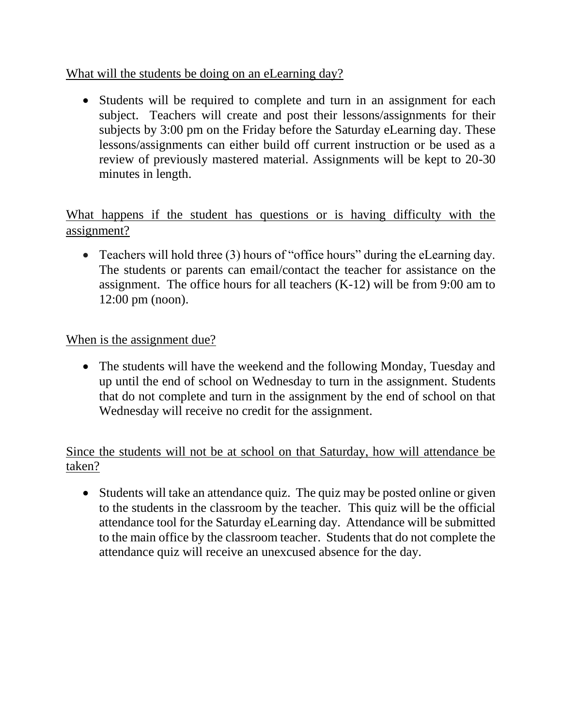What will the students be doing on an eLearning day?

• Students will be required to complete and turn in an assignment for each subject. Teachers will create and post their lessons/assignments for their subjects by 3:00 pm on the Friday before the Saturday eLearning day. These lessons/assignments can either build off current instruction or be used as a review of previously mastered material. Assignments will be kept to 20-30 minutes in length.

What happens if the student has questions or is having difficulty with the assignment?

 Teachers will hold three (3) hours of "office hours" during the eLearning day. The students or parents can email/contact the teacher for assistance on the assignment. The office hours for all teachers  $(K-12)$  will be from 9:00 am to 12:00 pm (noon).

#### When is the assignment due?

• The students will have the weekend and the following Monday, Tuesday and up until the end of school on Wednesday to turn in the assignment. Students that do not complete and turn in the assignment by the end of school on that Wednesday will receive no credit for the assignment.

#### Since the students will not be at school on that Saturday, how will attendance be taken?

• Students will take an attendance quiz. The quiz may be posted online or given to the students in the classroom by the teacher. This quiz will be the official attendance tool for the Saturday eLearning day. Attendance will be submitted to the main office by the classroom teacher. Students that do not complete the attendance quiz will receive an unexcused absence for the day.